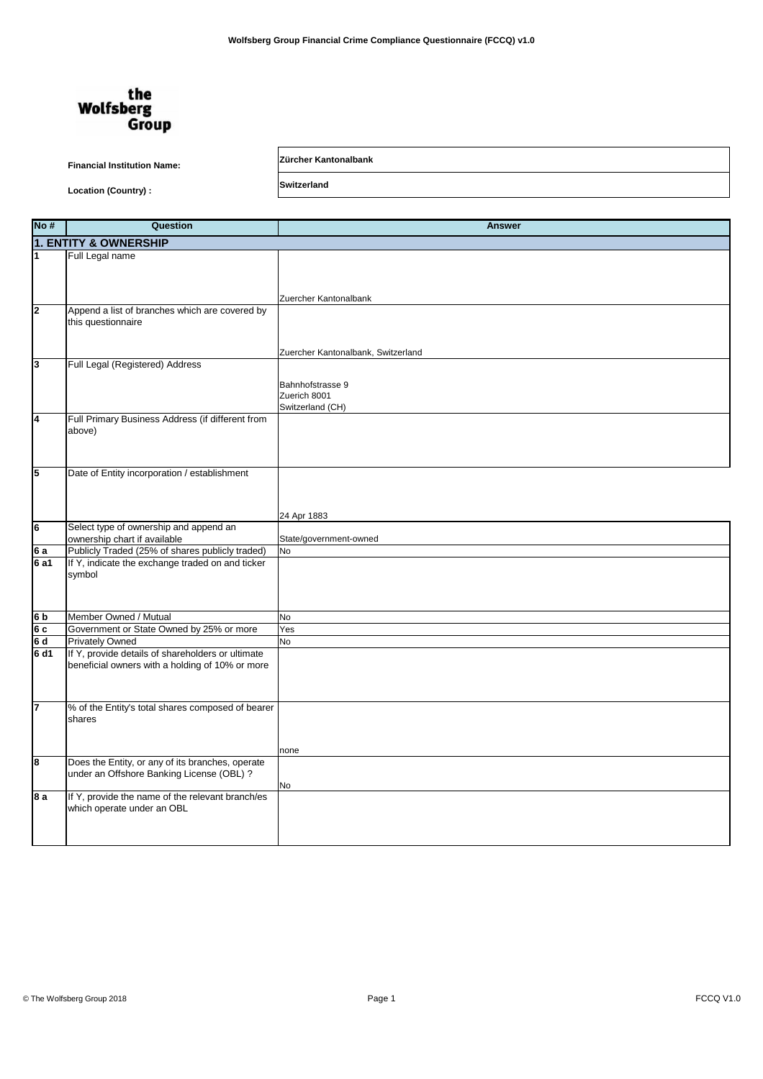## the **Wolfsberg Group**

## **Financial Institution Name: Zürcher Kantonalbank**

Location (Country) : **Switzerland** 

**No # Question Answer 1** Full Legal name Zuercher Kantonalbank **2** Append a list of branches which are covered by this questionnaire Zuercher Kantonalbank, Switzerland **3** Full Legal (Registered) Address Bahnhofstrasse 9 Zuerich 8001 Switzerland (CH) **4** Full Primary Business Address (if different from above) **5** Date of Entity incorporation / establishment 24 Apr 1883 **6** Select type of ownership and append an ownership chart if available State/government-owned **6 a** Publicly Traded (25% of shares publicly traded) No<br>**6 a1** If Y. indicate the exchange traded on and ticker If Y, indicate the exchange traded on and ticker symbol **6 b** Member Owned / Mutual No<br> **6 c** Government or State Owned by 25% or more Yes<br> **6 d** Privately Owned No<br> **6 d1** If Y, provide details of shareholders or ultimate **6** Government or State Owned by 25% or more Yes **Privately Owned** No **If Y, provide details of shareholders or ultimate** beneficial owners with a holding of 10% or more **7** % of the Entity's total shares composed of bearer shares none **8** Does the Entity, or any of its branches, operate under an Offshore Banking License (OBL) ? No **8 a** If Y, provide the name of the relevant branch/es which operate under an OBL **1. ENTITY & OWNERSHIP**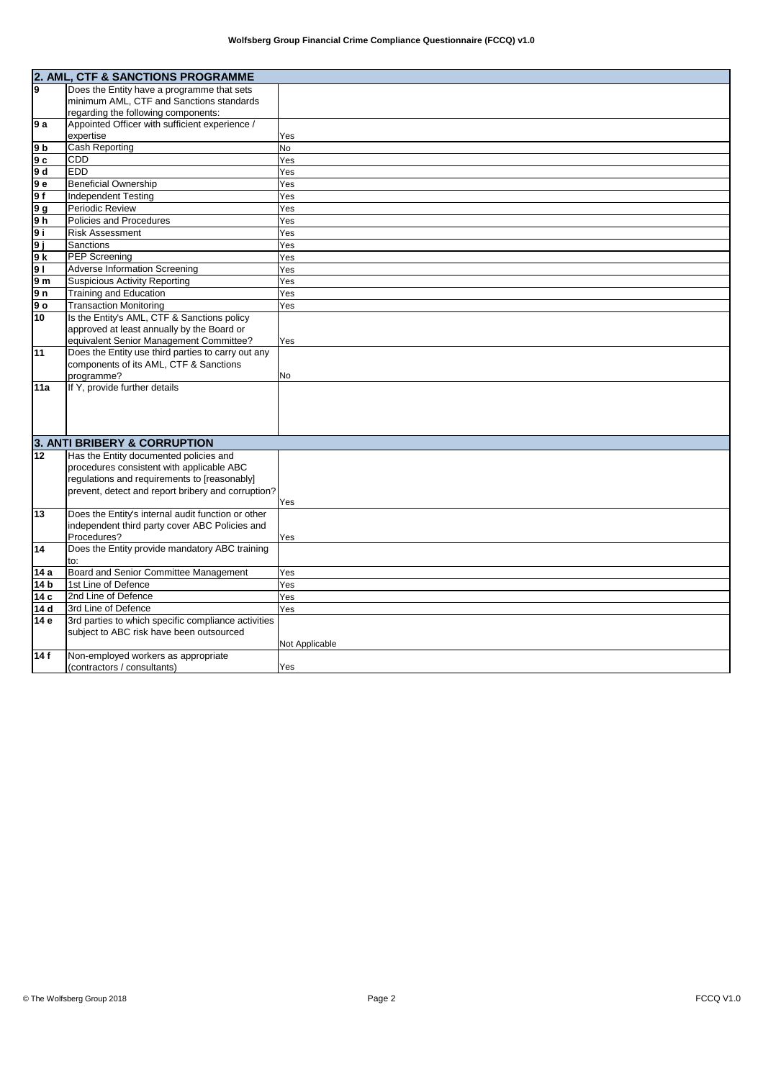|                | 2. AML, CTF & SANCTIONS PROGRAMME                   |                |
|----------------|-----------------------------------------------------|----------------|
| l9             | Does the Entity have a programme that sets          |                |
|                | minimum AML, CTF and Sanctions standards            |                |
|                | regarding the following components:                 |                |
| l9 a           | Appointed Officer with sufficient experience /      |                |
|                | expertise                                           | Yes            |
| l9 b           | Cash Reporting                                      | <b>No</b>      |
| l9 c           | <b>CDD</b>                                          | Yes            |
| 9 d            | <b>EDD</b>                                          | Yes            |
| 9е             | <b>Beneficial Ownership</b>                         | Yes            |
| 9f             | <b>Independent Testing</b>                          | Yes            |
| 9 g            | Periodic Review                                     | Yes            |
| 9 <sub>h</sub> | Policies and Procedures                             | Yes            |
| l9 i           | <b>Risk Assessment</b>                              | Yes            |
| 9 i            | Sanctions                                           | Yes            |
| l9 k           | <b>PEP Screening</b>                                | Yes            |
| <b>9</b> I     | <b>Adverse Information Screening</b>                | Yes            |
| l9 m           | <b>Suspicious Activity Reporting</b>                | Yes            |
| 9 n            | Training and Education                              | Yes            |
| l9 o           | <b>Transaction Monitoring</b>                       | Yes            |
| 10             | Is the Entity's AML, CTF & Sanctions policy         |                |
|                | approved at least annually by the Board or          |                |
|                | equivalent Senior Management Committee?             | Yes            |
| 11             | Does the Entity use third parties to carry out any  |                |
|                | components of its AML, CTF & Sanctions              |                |
|                | programme?                                          | No             |
| 11a            | If Y, provide further details                       |                |
|                |                                                     |                |
|                |                                                     |                |
|                |                                                     |                |
|                | 3. ANTI BRIBERY & CORRUPTION                        |                |
|                |                                                     |                |
| 12             | Has the Entity documented policies and              |                |
|                | procedures consistent with applicable ABC           |                |
|                | regulations and requirements to [reasonably]        |                |
|                | prevent, detect and report bribery and corruption?  |                |
| 13             | Does the Entity's internal audit function or other  | Yes            |
|                | independent third party cover ABC Policies and      |                |
|                | Procedures?                                         | Yes            |
| 14             | Does the Entity provide mandatory ABC training      |                |
|                | to:                                                 |                |
| 14 a           | Board and Senior Committee Management               | Yes            |
| 14 b           | 1st Line of Defence                                 | Yes            |
| 14 с           | 2nd Line of Defence                                 | Yes            |
| 14 d           | 3rd Line of Defence                                 | Yes            |
| 14 e           | 3rd parties to which specific compliance activities |                |
|                | subject to ABC risk have been outsourced            |                |
|                |                                                     | Not Applicable |
| 14 f           | Non-employed workers as appropriate                 |                |
|                | (contractors / consultants)                         | Yes            |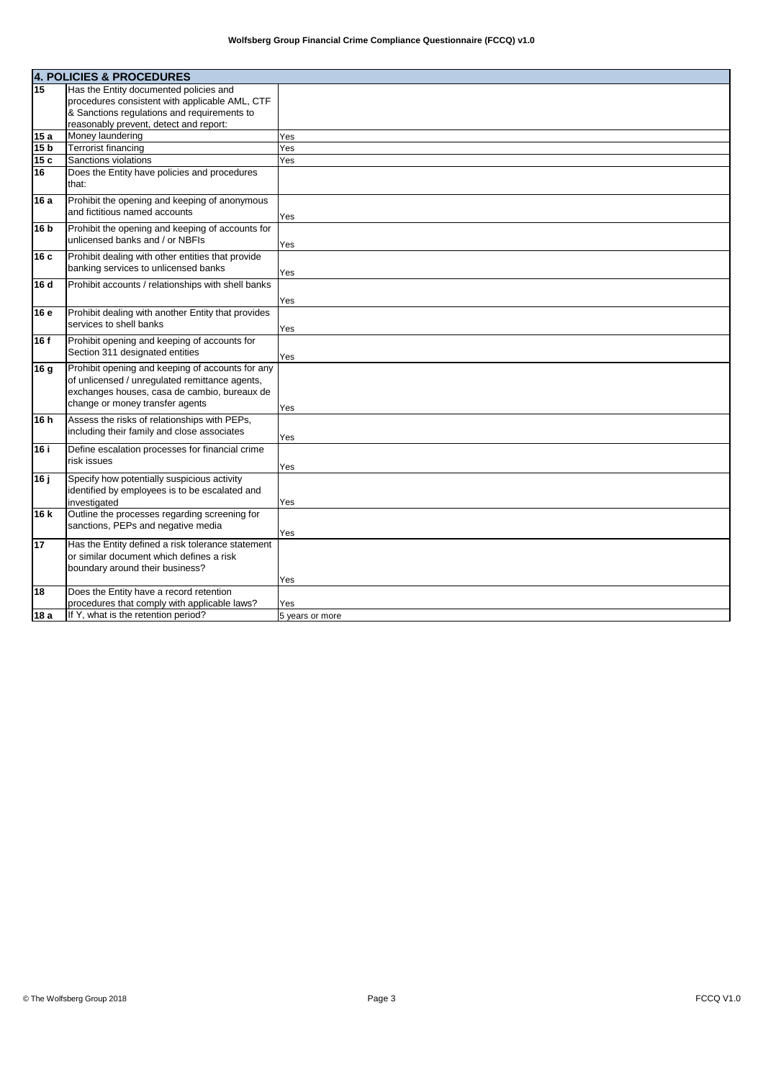|                 | <b>4. POLICIES &amp; PROCEDURES</b>                |                 |
|-----------------|----------------------------------------------------|-----------------|
| 15              | Has the Entity documented policies and             |                 |
|                 | procedures consistent with applicable AML, CTF     |                 |
|                 | & Sanctions regulations and requirements to        |                 |
|                 | reasonably prevent, detect and report:             |                 |
| 15a             | Money laundering                                   | Yes             |
| 15 <sub>b</sub> | <b>Terrorist financing</b>                         | Yes             |
| 15c             | Sanctions violations                               | Yes             |
| 16              | Does the Entity have policies and procedures       |                 |
|                 | that:                                              |                 |
| 16 a            | Prohibit the opening and keeping of anonymous      |                 |
|                 | and fictitious named accounts                      | Yes             |
| 16 b            | Prohibit the opening and keeping of accounts for   |                 |
|                 | unlicensed banks and / or NBFIs                    | Yes             |
| 16c             | Prohibit dealing with other entities that provide  |                 |
|                 | banking services to unlicensed banks               | Yes             |
| l16 d           | Prohibit accounts / relationships with shell banks |                 |
|                 |                                                    | Yes             |
| 16 e            | Prohibit dealing with another Entity that provides |                 |
|                 | services to shell banks                            |                 |
|                 |                                                    | Yes             |
| 16 f            | Prohibit opening and keeping of accounts for       |                 |
|                 | Section 311 designated entities                    | Yes             |
| 16 <sub>g</sub> | Prohibit opening and keeping of accounts for any   |                 |
|                 | of unlicensed / unregulated remittance agents,     |                 |
|                 | exchanges houses, casa de cambio, bureaux de       |                 |
|                 | change or money transfer agents                    | Yes             |
| 16h             | Assess the risks of relationships with PEPs,       |                 |
|                 | including their family and close associates        |                 |
|                 | Define escalation processes for financial crime    | Yes             |
| 16 i            | risk issues                                        |                 |
|                 |                                                    | Yes             |
| 16 i            | Specify how potentially suspicious activity        |                 |
|                 | identified by employees is to be escalated and     |                 |
|                 | investigated                                       | Yes             |
| 16 k            | Outline the processes regarding screening for      |                 |
|                 | sanctions, PEPs and negative media                 | Yes             |
| 17              | Has the Entity defined a risk tolerance statement  |                 |
|                 | or similar document which defines a risk           |                 |
|                 | boundary around their business?                    |                 |
|                 |                                                    | Yes             |
| 18              | Does the Entity have a record retention            |                 |
|                 | procedures that comply with applicable laws?       | Yes             |
| 18 a            | If Y, what is the retention period?                | 5 years or more |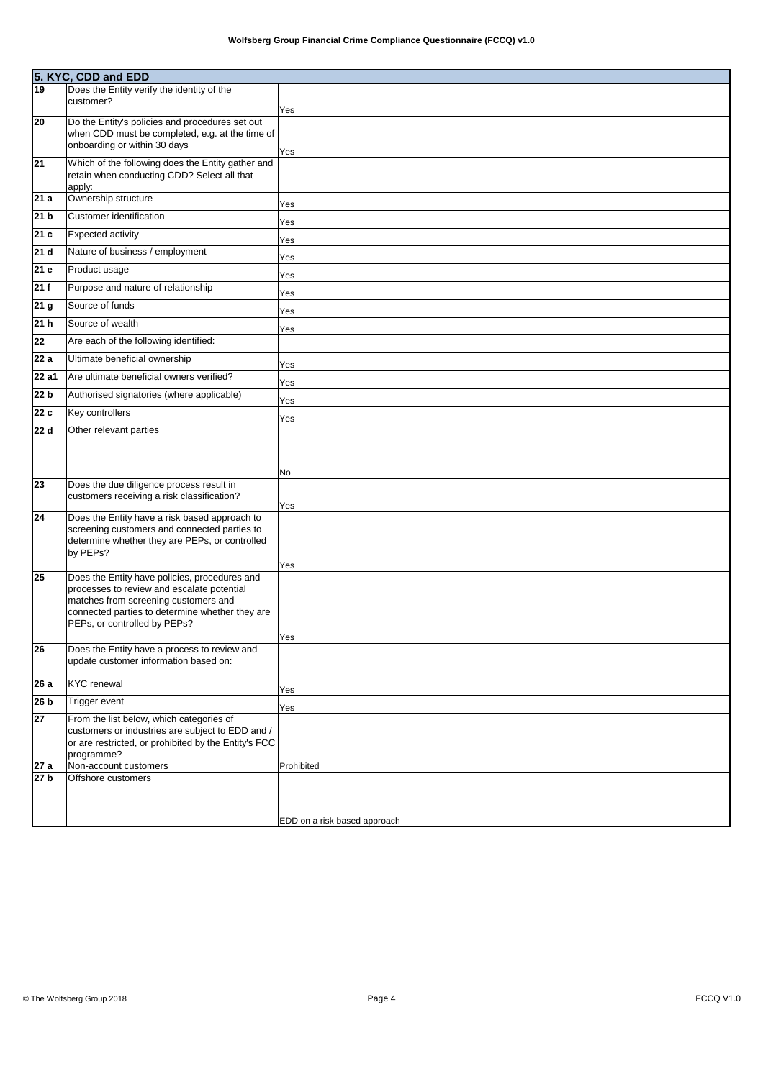|                    | 5. KYC, CDD and EDD<br>19 Does the Entity veri<br>Does the Entity verify the identity of the             |                              |
|--------------------|----------------------------------------------------------------------------------------------------------|------------------------------|
|                    | customer?                                                                                                |                              |
|                    |                                                                                                          | Yes                          |
| 20                 | Do the Entity's policies and procedures set out                                                          |                              |
|                    | when CDD must be completed, e.g. at the time of                                                          |                              |
|                    | onboarding or within 30 days                                                                             | Yes                          |
| $\overline{21}$    | Which of the following does the Entity gather and                                                        |                              |
|                    | retain when conducting CDD? Select all that                                                              |                              |
| 21a                | apply:<br>Ownership structure                                                                            |                              |
|                    |                                                                                                          | Yes                          |
| 21 <sub>b</sub>    | Customer identification                                                                                  | Yes                          |
| 21c                | <b>Expected activity</b>                                                                                 | Yes                          |
| 21 <sub>d</sub>    | Nature of business / employment                                                                          | Yes                          |
| 21 e               | Product usage                                                                                            | Yes                          |
| 21f                | Purpose and nature of relationship                                                                       |                              |
| 21 <sub>g</sub>    | Source of funds                                                                                          | Yes                          |
|                    |                                                                                                          | Yes                          |
| 21h                | Source of wealth                                                                                         | Yes                          |
| 22                 | Are each of the following identified:                                                                    |                              |
| 22a                | Ultimate beneficial ownership                                                                            | Yes                          |
| $\overline{22}$ a1 | Are ultimate beneficial owners verified?                                                                 | Yes                          |
| 22 <sub>b</sub>    | Authorised signatories (where applicable)                                                                | Yes                          |
| 22c                | Key controllers                                                                                          | Yes                          |
| 22 d               | Other relevant parties                                                                                   |                              |
|                    |                                                                                                          |                              |
|                    |                                                                                                          |                              |
|                    |                                                                                                          | No                           |
| 23                 | Does the due diligence process result in                                                                 |                              |
|                    | customers receiving a risk classification?                                                               |                              |
| 24                 | Does the Entity have a risk based approach to                                                            | Yes                          |
|                    | screening customers and connected parties to                                                             |                              |
|                    | determine whether they are PEPs, or controlled                                                           |                              |
|                    | by PEPs?                                                                                                 |                              |
|                    |                                                                                                          | Yes                          |
| 25                 | Does the Entity have policies, procedures and                                                            |                              |
|                    | processes to review and escalate potential                                                               |                              |
|                    | matches from screening customers and                                                                     |                              |
|                    | connected parties to determine whether they are<br>PEPs, or controlled by PEPs?                          |                              |
|                    |                                                                                                          | Yes                          |
| 26                 | Does the Entity have a process to review and                                                             |                              |
|                    | update customer information based on:                                                                    |                              |
|                    | <b>KYC</b> renewal                                                                                       |                              |
| $\overline{2}6a$   |                                                                                                          | Yes                          |
| 26 <sub>b</sub>    | Trigger event                                                                                            | Yes                          |
| 27                 | From the list below, which categories of                                                                 |                              |
|                    | customers or industries are subject to EDD and /<br>or are restricted, or prohibited by the Entity's FCC |                              |
|                    | programme?                                                                                               |                              |
| 27a                | Non-account customers                                                                                    | Prohibited                   |
| $\overline{27}$ b  | Offshore customers                                                                                       |                              |
|                    |                                                                                                          |                              |
|                    |                                                                                                          |                              |
|                    |                                                                                                          | EDD on a risk based approach |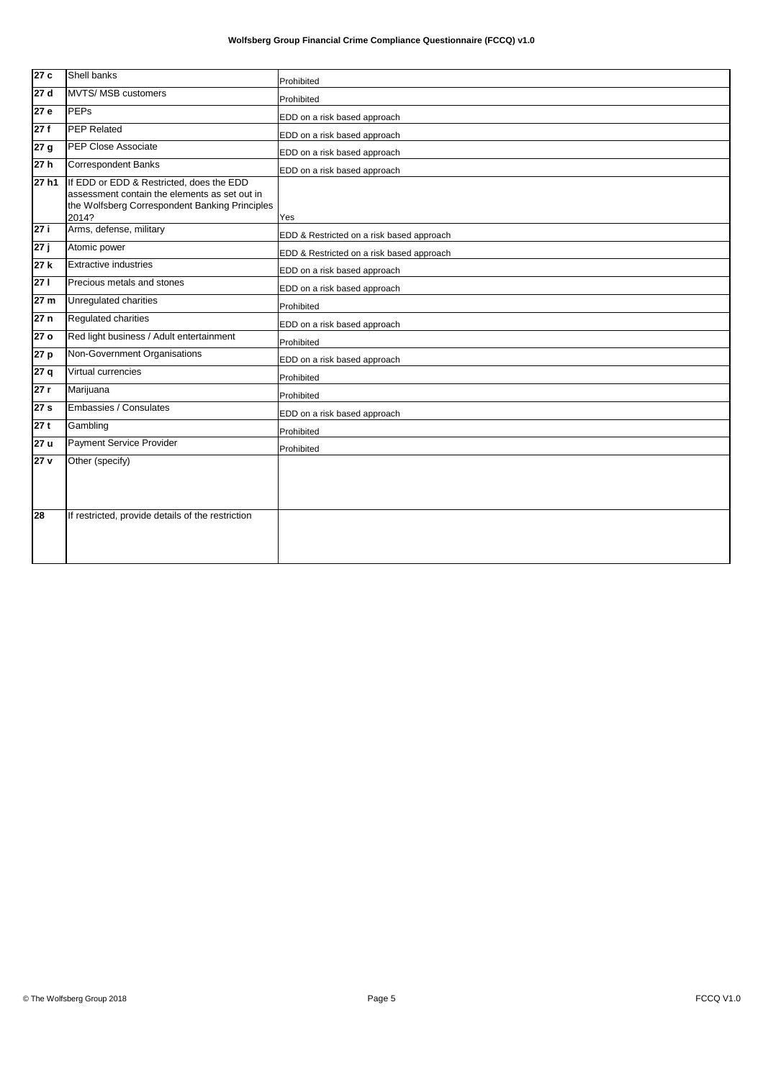| 27 c              | <b>Shell banks</b>                                                                                                                                   | Prohibited                                |
|-------------------|------------------------------------------------------------------------------------------------------------------------------------------------------|-------------------------------------------|
| 27 d              | MVTS/ MSB customers                                                                                                                                  | Prohibited                                |
| 27 e              | <b>PEPs</b>                                                                                                                                          | EDD on a risk based approach              |
| 27 f              | <b>PEP Related</b>                                                                                                                                   | EDD on a risk based approach              |
| 27 g              | <b>PEP Close Associate</b>                                                                                                                           | EDD on a risk based approach              |
| 27 h              | <b>Correspondent Banks</b>                                                                                                                           | EDD on a risk based approach              |
| 27 h1             | If EDD or EDD & Restricted, does the EDD<br>assessment contain the elements as set out in<br>the Wolfsberg Correspondent Banking Principles<br>2014? | Yes                                       |
| 27 i              | Arms, defense, military                                                                                                                              | EDD & Restricted on a risk based approach |
| $\overline{27}$ j | Atomic power                                                                                                                                         | EDD & Restricted on a risk based approach |
| 27 k              | <b>Extractive industries</b>                                                                                                                         | EDD on a risk based approach              |
| 27 I              | Precious metals and stones                                                                                                                           | EDD on a risk based approach              |
| 27 m              | Unregulated charities                                                                                                                                | Prohibited                                |
| 27 n              | Regulated charities                                                                                                                                  | EDD on a risk based approach              |
| 27 o              | Red light business / Adult entertainment                                                                                                             | Prohibited                                |
| 27 p              | Non-Government Organisations                                                                                                                         | EDD on a risk based approach              |
| $\overline{27}$ q | Virtual currencies                                                                                                                                   | Prohibited                                |
| 27 r              | Marijuana                                                                                                                                            | Prohibited                                |
| 27 s              | Embassies / Consulates                                                                                                                               | EDD on a risk based approach              |
| 27 t              | Gambling                                                                                                                                             | Prohibited                                |
| 27 u              | <b>Payment Service Provider</b>                                                                                                                      | Prohibited                                |
| 27 <sub>v</sub>   | Other (specify)                                                                                                                                      |                                           |
| 28                | If restricted, provide details of the restriction                                                                                                    |                                           |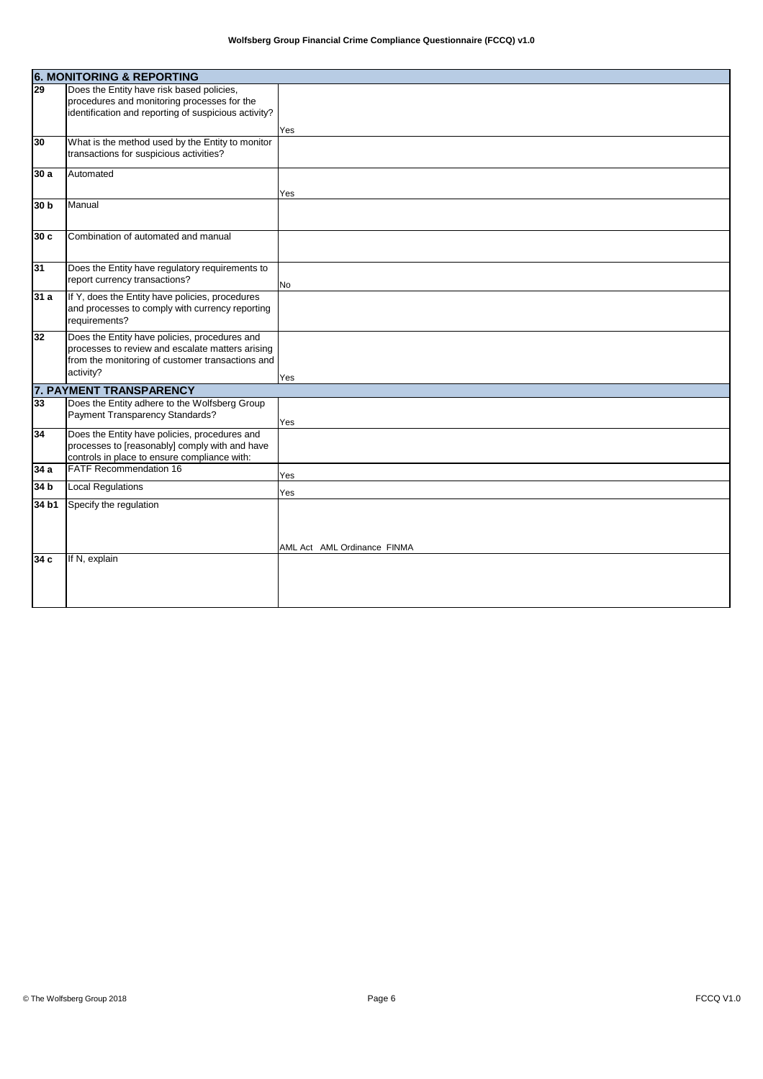|                 | <b>6. MONITORING &amp; REPORTING</b>                                                                                                                               |                             |
|-----------------|--------------------------------------------------------------------------------------------------------------------------------------------------------------------|-----------------------------|
| 29              | Does the Entity have risk based policies,<br>procedures and monitoring processes for the<br>identification and reporting of suspicious activity?                   |                             |
|                 |                                                                                                                                                                    | Yes                         |
| 30              | What is the method used by the Entity to monitor<br>transactions for suspicious activities?                                                                        |                             |
| 30a             | Automated                                                                                                                                                          | Yes                         |
| 30 b            | Manual                                                                                                                                                             |                             |
| 30c             | Combination of automated and manual                                                                                                                                |                             |
| 31              | Does the Entity have regulatory requirements to<br>report currency transactions?                                                                                   | No                          |
| 31a             | If Y, does the Entity have policies, procedures<br>and processes to comply with currency reporting<br>requirements?                                                |                             |
| 32              | Does the Entity have policies, procedures and<br>processes to review and escalate matters arising<br>from the monitoring of customer transactions and<br>activity? | Yes                         |
|                 | 7. PAYMENT TRANSPARENCY                                                                                                                                            |                             |
| 33              | Does the Entity adhere to the Wolfsberg Group<br>Payment Transparency Standards?                                                                                   | Yes                         |
| 34              | Does the Entity have policies, procedures and<br>processes to [reasonably] comply with and have<br>controls in place to ensure compliance with:                    |                             |
| 34 a            | <b>FATF Recommendation 16</b>                                                                                                                                      | Yes                         |
| 34 <sub>b</sub> | <b>Local Regulations</b>                                                                                                                                           | Yes                         |
| 34 b1           | Specify the regulation                                                                                                                                             | AML Act AML Ordinance FINMA |
| 34c             | If N, explain                                                                                                                                                      |                             |